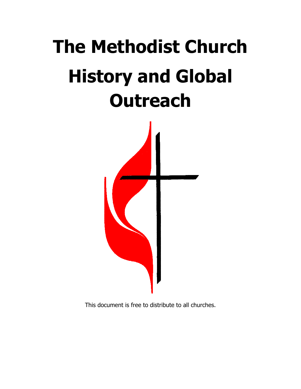# The Methodist Church History and Global **Outreach**



This document is free to distribute to all churches.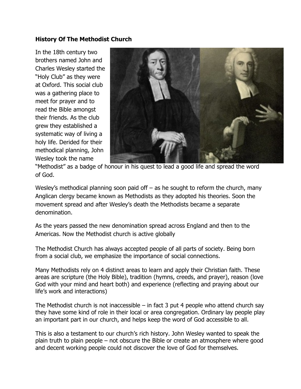#### History Of The Methodist Church

In the 18th century two brothers named John and Charles Wesley started the "Holy Club" as they were at Oxford. This social club was a gathering place to meet for prayer and to read the Bible amongst their friends. As the club grew they established a systematic way of living a holy life. Derided for their methodical planning, John Wesley took the name



"Methodist" as a badge of honour in his quest to lead a good life and spread the word of God.

Wesley's methodical planning soon paid off – as he sought to reform the church, many Anglican clergy became known as Methodists as they adopted his theories. Soon the movement spread and after Wesley's death the Methodists became a separate denomination.

As the years passed the new denomination spread across England and then to the Americas. Now the Methodist church is active globally

The Methodist Church has always accepted people of all parts of society. Being born from a social club, we emphasize the importance of social connections.

Many Methodists rely on 4 distinct areas to learn and apply their Christian faith. These areas are scripture (the Holy Bible), tradition (hymns, creeds, and prayer), reason (love God with your mind and heart both) and experience (reflecting and praying about our life's work and interactions)

The Methodist church is not inaccessible – in fact 3 put 4 people who attend church say they have some kind of role in their local or area congregation. Ordinary lay people play an important part in our church, and helps keep the word of God accessible to all.

This is also a testament to our church's rich history. John Wesley wanted to speak the plain truth to plain people – not obscure the Bible or create an atmosphere where good and decent working people could not discover the love of God for themselves.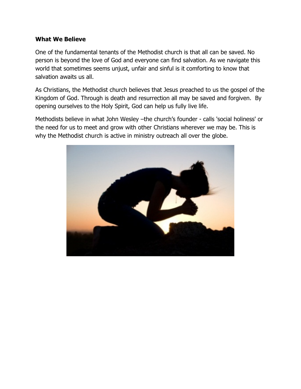#### What We Believe

One of the fundamental tenants of the Methodist church is that all can be saved. No person is beyond the love of God and everyone can find salvation. As we navigate this world that sometimes seems unjust, unfair and sinful is it comforting to know that salvation awaits us all.

As Christians, the Methodist church believes that Jesus preached to us the gospel of the Kingdom of God. Through is death and resurrection all may be saved and forgiven. By opening ourselves to the Holy Spirit, God can help us fully live life.

Methodists believe in what John Wesley –the church's founder - calls 'social holiness' or the need for us to meet and grow with other Christians wherever we may be. This is why the Methodist church is active in ministry outreach all over the globe.

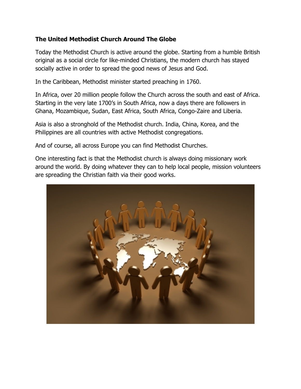## The United Methodist Church Around The Globe

Today the Methodist Church is active around the globe. Starting from a humble British original as a social circle for like-minded Christians, the modern church has stayed socially active in order to spread the good news of Jesus and God.

In the Caribbean, Methodist minister started preaching in 1760.

In Africa, over 20 million people follow the Church across the south and east of Africa. Starting in the very late 1700's in South Africa, now a days there are followers in Ghana, Mozambique, Sudan, East Africa, South Africa, Congo-Zaire and Liberia.

Asia is also a stronghold of the Methodist church. India, China, Korea, and the Philippines are all countries with active Methodist congregations.

And of course, all across Europe you can find Methodist Churches.

One interesting fact is that the Methodist church is always doing missionary work around the world. By doing whatever they can to help local people, mission volunteers are spreading the Christian faith via their good works.

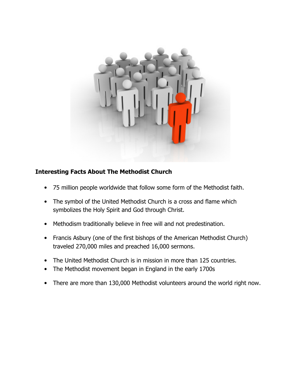

# Interesting Facts About The Methodist Church

- 75 million people worldwide that follow some form of the Methodist faith.
- The symbol of the United Methodist Church is a cross and flame which symbolizes the Holy Spirit and God through Christ.
- Methodism traditionally believe in free will and not predestination.
- Francis Asbury (one of the first bishops of the American Methodist Church) traveled 270,000 miles and preached 16,000 sermons.
- The United Methodist Church is in mission in more than 125 countries.
- The Methodist movement began in England in the early 1700s
- There are more than 130,000 Methodist volunteers around the world right now.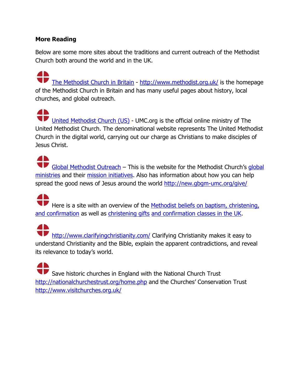## More Reading

**AR** 

Below are some more sites about the traditions and current outreach of the Methodist Church both around the world and in the UK.

The Methodist Church in Britain - http://www.methodist.org.uk/ is the homepage of the Methodist Church in Britain and has many useful pages about history, local churches, and global outreach.

**AN** United Methodist Church (US) - UMC.org is the official online ministry of The United Methodist Church. The denominational website represents The United Methodist Church in the digital world, carrying out our charge as Christians to make disciples of Jesus Christ.

**AN** Global Methodist Outreach – This is the website for the Methodist Church's global ministries and their mission initiatives. Also has information about how you can help spread the good news of Jesus around the world http://new.gbgm-umc.org/give/

**AD** Here is a site with an overview of the Methodist beliefs on baptism, christening, and confirmation as well as christening gifts and confirmation classes in the UK.

41 **Thttp://www.clarifyingchristianity.com/ Clarifying Christianity makes it easy to** understand Christianity and the Bible, explain the apparent contradictions, and reveal its relevance to today's world.

41 Save historic churches in England with the National Church Trust http://nationalchurchestrust.org/home.php and the Churches' Conservation Trust http://www.visitchurches.org.uk/